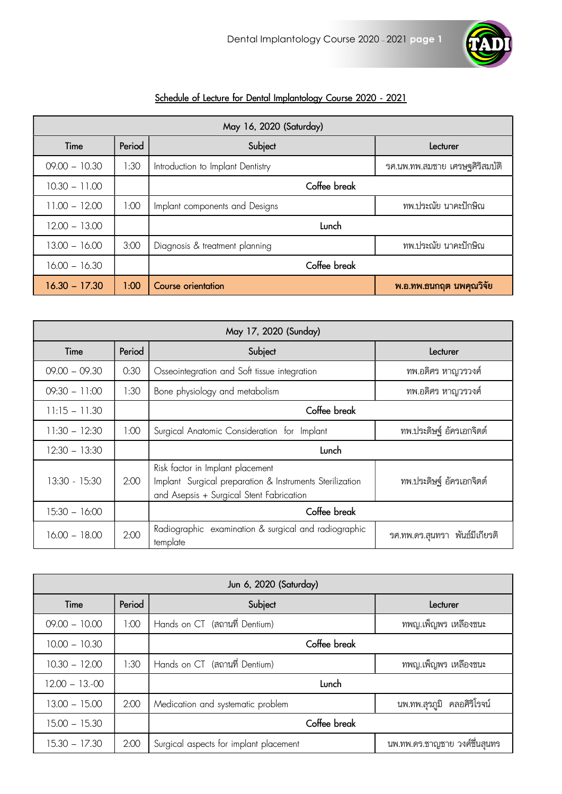

## Schedule of Lecture for Dental Implantology Course 2020 - 2021

| May 16, 2020 (Saturday) |        |                                   |                                 |
|-------------------------|--------|-----------------------------------|---------------------------------|
| Time                    | Period | Subject                           | Lecturer                        |
| $09.00 - 10.30$         | 1:30   | Introduction to Implant Dentistry | ิรศ.นพ.ทพ.สมชาย เศรษฐศิริสมบัติ |
| $10.30 - 11.00$         |        | Coffee break                      |                                 |
| $11.00 - 12.00$         | 00:1   | Implant components and Designs    | ทพ.ประณัย นาคะปักษิณ            |
| $12.00 - 13.00$         |        | Lunch                             |                                 |
| $13.00 - 16.00$         | 3:00   | Diagnosis & treatment planning    | ทพ.ประณัย นาคะปักษิณ            |
| $16.00 - 16.30$         |        | Coffee break                      |                                 |
| $16.30 - 17.30$         | 1:00   | Course orientation                | พ.อ.ทพ.ธนกฤต นพคุณวิจัย         |

| May 17, 2020 (Sunday) |        |                                                                                                                                          |                                   |
|-----------------------|--------|------------------------------------------------------------------------------------------------------------------------------------------|-----------------------------------|
| Time                  | Period | Subject                                                                                                                                  | Lecturer                          |
| $09.00 - 09.30$       | 0:30   | Osseointegration and Soft tissue integration                                                                                             | ทพ.อดิศร หาญวรวงศ์                |
| $09:30 - 11:00$       | 1:30   | Bone physiology and metabolism                                                                                                           | ทพ.อดิศร หาญวรวงศ์                |
| $11:15 - 11.30$       |        | Coffee break                                                                                                                             |                                   |
| $11:30 - 12:30$       | 1:00   | Surgical Anatomic Consideration for Implant                                                                                              | ทพ.ประดิษฐ์ อัครเอกจิตต์          |
| $12:30 - 13:30$       |        | Lunch                                                                                                                                    |                                   |
| $13:30 - 15:30$       | 2:00   | Risk factor in Implant placement<br>Implant Surgical preparation & Instruments Sterilization<br>and Asepsis + Surgical Stent Fabrication | ทพ.ประดิษฐ์ อัครเอกจิตต์          |
| $15:30 - 16:00$       |        | Coffee break                                                                                                                             |                                   |
| $16.00 - 18.00$       | 2:00   | Radiographic examination & surgical and radiographic<br>template                                                                         | พันธ์มีเกียรติ<br>รศ.ทพ.ดร.สุนทรา |

| Jun 6, 2020 (Saturday) |        |                                        |                               |
|------------------------|--------|----------------------------------------|-------------------------------|
| Time                   | Period | Subject                                | Lecturer                      |
| $09.00 - 10.00$        | 1:00   | Hands on CT (สถานที่ Dentium)          | ทพญ.เพ็ญพร เหลืองชนะ          |
| $10.00 - 10.30$        |        | Coffee break                           |                               |
| $10.30 - 12.00$        | 1:30   | Hands on CT (สถานที่ Dentium)          | ทพญ.เพ็ญพร เหลืองชนะ          |
| $12.00 - 13.-00$       |        | Lunch                                  |                               |
| $13.00 - 15.00$        | 2:00   | Medication and systematic problem      | นพ.ทพ.สุรภูมิ คลอศิริโรจน์    |
| $15.00 - 15.30$        |        | Coffee break                           |                               |
| $15.30 - 17.30$        | 2:00   | Surgical aspects for implant placement | นพ.ทพ.ดร.ชาญชาย วงศ์ชื่นสุนทร |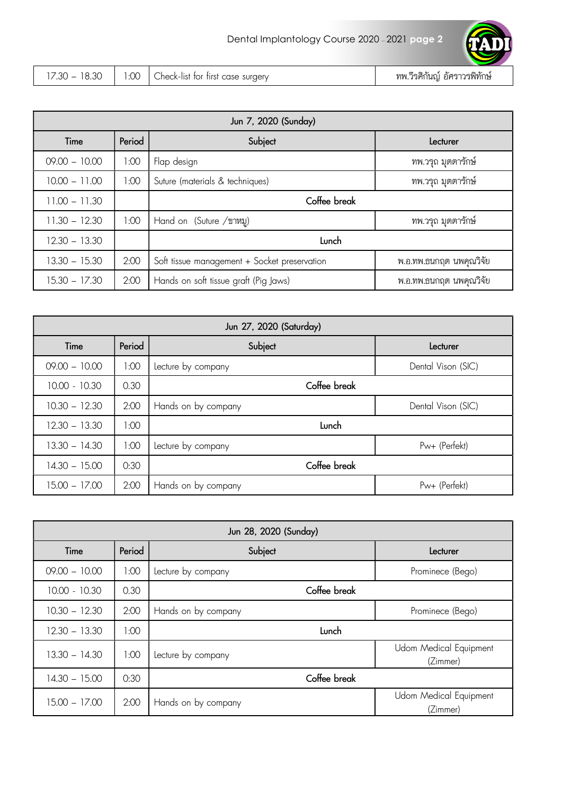| $\sim$<br>$\sim$<br>$\sim$<br>.30<br>u<br>$\cdot$<br>-<br>$\sim$<br>$\lambda$ | surgery<br>heck.<br>tırs<br>tor<br>∙lıst<br>155<br>. . K = '<br>ີ | ے م<br>د<br>ทท<br>ิ™ทกษ<br>ิกคฯ<br>'וֹמּ∏ דׁ |
|-------------------------------------------------------------------------------|-------------------------------------------------------------------|----------------------------------------------|

| Jun 7, 2020 (Sunday) |        |                                              |                         |
|----------------------|--------|----------------------------------------------|-------------------------|
| Time                 | Period | Subject                                      | Lecturer                |
| $09.00 - 10.00$      | 1:00   | Flap design                                  | ทพ.วรุถ มุตตารักษ์      |
| $10.00 - 11.00$      | 1:00   | Suture (materials & techniques)              | ทพ.วรุถ มุตตารักษ์      |
| $11.00 - 11.30$      |        | Coffee break                                 |                         |
| $11.30 - 12.30$      | 1:00   | Hand on (Suture /ขาหมู)                      | ทพ.วรุถ มุตตารักษ์      |
| $12.30 - 13.30$      |        | Lunch                                        |                         |
| $13.30 - 15.30$      | 2:00   | Soft tissue management + Socket preservation | พ.อ.ทพ.ธนกฤต นพคุณวิจัย |
| $15.30 - 17.30$      | 2:00   | Hands on soft tissue graft (Pig Jaws)        | พ.อ.ทพ.ธนกฤต นพคุณวิจัย |

| Jun 27, 2020 (Saturday) |        |                     |                    |
|-------------------------|--------|---------------------|--------------------|
| Time                    | Period | Subject             | Lecturer           |
| $09.00 - 10.00$         | 1:00   | Lecture by company  | Dental Vison (SIC) |
| $10.00 - 10.30$         | 0.30   | Coffee break        |                    |
| $10.30 - 12.30$         | 2:00   | Hands on by company | Dental Vison (SIC) |
| $12.30 - 13.30$         | 1:00   | Lunch               |                    |
| $13.30 - 14.30$         | 1:00   | Lecture by company  | Pw+ (Perfekt)      |
| $14.30 - 15.00$         | 0:30   | Coffee break        |                    |
| $15.00 - 17.00$         | 2:00   | Hands on by company | Pw+ (Perfekt)      |

| Jun 28, 2020 (Sunday) |        |                     |                                    |
|-----------------------|--------|---------------------|------------------------------------|
| Time                  | Period | Subject             | Lecturer                           |
| $09.00 - 10.00$       | 1:00   | Lecture by company  | Prominece (Bego)                   |
| $10.00 - 10.30$       | 0.30   | Coffee break        |                                    |
| $10.30 - 12.30$       | 2:00   | Hands on by company | Prominece (Bego)                   |
| $12.30 - 13.30$       | 1:00   | Lunch               |                                    |
| $13.30 - 14.30$       | 1:00   | Lecture by company  | Udom Medical Equipment<br>(Zimmer) |
| $14.30 - 15.00$       | 0:30   | Coffee break        |                                    |
| $15.00 - 17.00$       | 2:00   | Hands on by company | Udom Medical Equipment<br>(Zimmer) |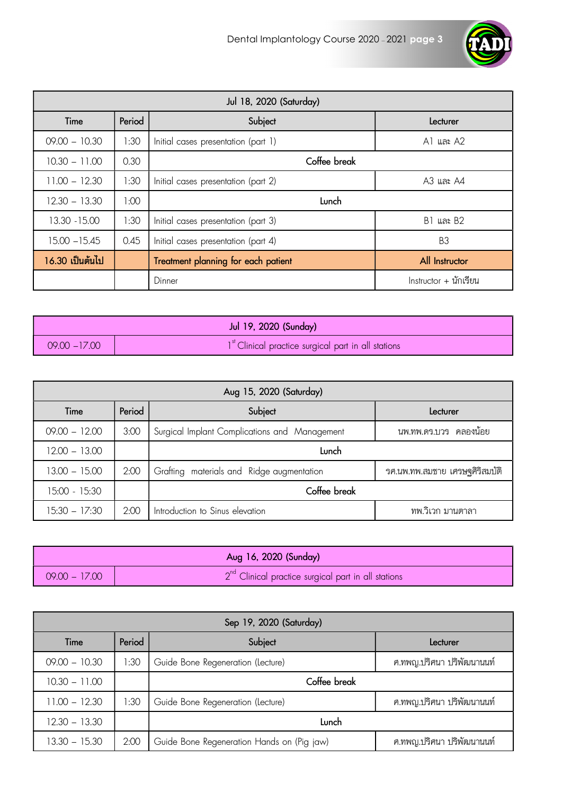

| Jul 18, 2020 (Saturday) |        |                                     |                                      |
|-------------------------|--------|-------------------------------------|--------------------------------------|
| Time                    | Period | Subject                             | Lecturer                             |
| $09.00 - 10.30$         | 1:30   | Initial cases presentation (part 1) | A1 และ A2                            |
| $10.30 - 11.00$         | 0.30   | Coffee break                        |                                      |
| $11.00 - 12.30$         | 1:30   | Initial cases presentation (part 2) | A3 และ A4                            |
| $12.30 - 13.30$         | 00:1   | Lunch                               |                                      |
| 13.30 - 15.00           | 1:30   | Initial cases presentation (part 3) | <b>B1 และ B2</b>                     |
| $15.00 - 15.45$         | 0.45   | Initial cases presentation (part 4) | B <sub>3</sub>                       |
| 16.30 เป็นต้นไป         |        | Treatment planning for each patient | All Instructor                       |
|                         |        | Dinner                              | $Instructor + \mathbf{u} \mathbf{u}$ |

|                 | Jul 19, 2020 (Sunday)                                           |
|-----------------|-----------------------------------------------------------------|
| $09.00 - 17.00$ | 1 <sup>st</sup> Clinical practice surgical part in all stations |

| Aug 15, 2020 (Saturday) |        |                                               |                                |
|-------------------------|--------|-----------------------------------------------|--------------------------------|
| Time                    | Period | Subject                                       | Lecturer                       |
| $09.00 - 12.00$         | 3:00   | Surgical Implant Complications and Management | นพ.ทพ.ดร.บวร คลองน้อย          |
| $12.00 - 13.00$         |        | Lunch                                         |                                |
| $13.00 - 15.00$         | 2:00   | Grafting materials and Ridge augmentation     | รศ.นพ.ทพ.สมชาย เศรษฐศิริสมบัติ |
| 15:00 - 15:30           |        | Coffee break                                  |                                |
| $15:30 - 17:30$         | 2:00   | Introduction to Sinus elevation               | ทพ.วิเวก มานตาลา               |

|                 | Aug 16, 2020 (Sunday)                                 |
|-----------------|-------------------------------------------------------|
| $09.00 - 17.00$ | $2nd$ Clinical practice surgical part in all stations |

| Sep 19, 2020 (Saturday) |        |                                            |                           |
|-------------------------|--------|--------------------------------------------|---------------------------|
| Time                    | Period | Subject                                    | Lecturer                  |
| $09.00 - 10.30$         | 1:30   | Guide Bone Regeneration (Lecture)          | ศ.ทพญ.ปริศนา ปริพัฒนานนท์ |
| $10.30 - 11.00$         |        | Coffee break                               |                           |
| $11.00 - 12.30$         | 1:30   | Guide Bone Regeneration (Lecture)          | ศ.ทพญ.ปริศนา ปริพัฒนานนท์ |
| $12.30 - 13.30$         |        | Lunch                                      |                           |
| $13.30 - 15.30$         | 2:00   | Guide Bone Regeneration Hands on (Pig jaw) | ศ.ทพญ.ปริศนา ปริพัฒนานนท์ |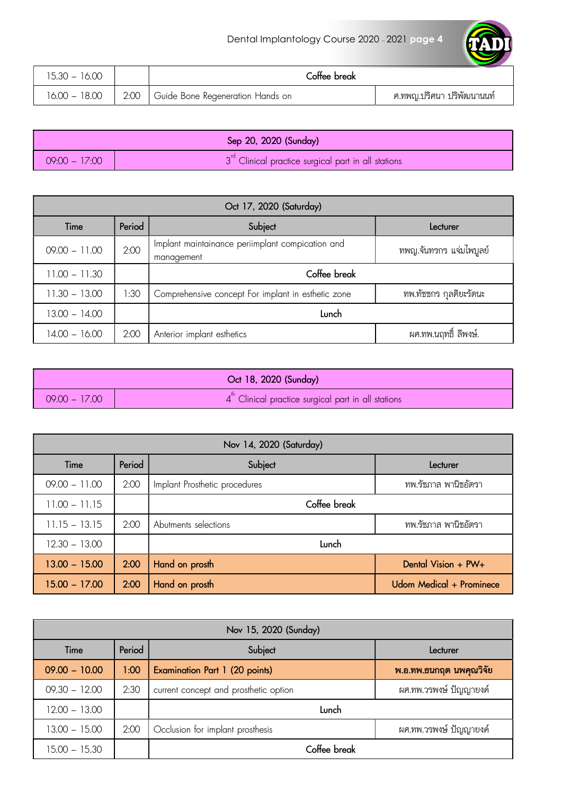TAD

| 15.30 – 16.00 | Coffee break                            |                           |
|---------------|-----------------------------------------|---------------------------|
| 16.00 - 18.00 | 2:00   Guide Bone Regeneration Hands on | ศ.ทพญ.ปริศนา ปริพัฒนานนท์ |

|                 | Sep 20, 2020 (Sunday)                                                    |
|-----------------|--------------------------------------------------------------------------|
| $09:00 - 17:00$ | $\sqrt{3}$ <sup>rd</sup> Clinical practice surgical part in all stations |

| Oct 17, 2020 (Saturday) |        |                                                                |                         |  |
|-------------------------|--------|----------------------------------------------------------------|-------------------------|--|
| Time                    | Period | Subject                                                        | Lecturer                |  |
| $09.00 - 11.00$         | 2:00   | Implant maintainance periimplant compication and<br>management | ทพญ.จันทรกร แจ่มไพบูลย์ |  |
| $11.00 - 11.30$         |        | Coffee break                                                   |                         |  |
| $11.30 - 13.00$         | 1:30   | Comprehensive concept For implant in esthetic zone             | ทพ.ทัชชกร กลติยะรัตนะ   |  |
| $13.00 - 14.00$         |        | Lunch                                                          |                         |  |
| 14.00 - 16.00           | 2:00   | Anterior implant esthetics                                     | ผศ.ทพ.นฤทธิ์ ลีพงษ์.    |  |

|                 | Oct 18, 2020 (Sunday)                                 |
|-----------------|-------------------------------------------------------|
| $09.00 - 17.00$ | $4th$ Clinical practice surgical part in all stations |

| Nov 14, 2020 (Saturday) |        |                               |                          |
|-------------------------|--------|-------------------------------|--------------------------|
| Time                    | Period | Subject                       | Lecturer                 |
| $09.00 - 11.00$         | 2:00   | Implant Prosthetic procedures | ทพ.รัชภาส พานิชอัตรา     |
| $11.00 - 11.15$         |        | Coffee break                  |                          |
| $11.15 - 13.15$         | 2:00   | Abutments selections          | ทพ.รัชภาส พานิชอัตรา     |
| $12.30 - 13.00$         |        | Lunch                         |                          |
| $13.00 - 15.00$         | 2:00   | Hand on prosth                | Dental Vision + PW+      |
| $15.00 - 17.00$         | 2:00   | Hand on prosth                | Udom Medical + Prominece |

| Nov 15, 2020 (Sunday) |        |                                       |                           |  |
|-----------------------|--------|---------------------------------------|---------------------------|--|
| Time                  | Period | Subject<br>Lecturer                   |                           |  |
| $09.00 - 10.00$       | 1:00   | <b>Examination Part 1 (20 points)</b> | ี พ.อ.ทพ.ธนกฤต นพคุณวิจัย |  |
| $09.30 - 12.00$       | 2:30   | current concept and prosthetic option | ผศ.ทพ.วรพงษ์ ปัญญายงค์    |  |
| $12.00 - 13.00$       |        | Lunch                                 |                           |  |
| $13.00 - 15.00$       | 2:00   | Occlusion for implant prosthesis      | ่ผศ.ทพ.วรพงษ์ ปัญญายงค์   |  |
| $15.00 - 15.30$       |        | Coffee break                          |                           |  |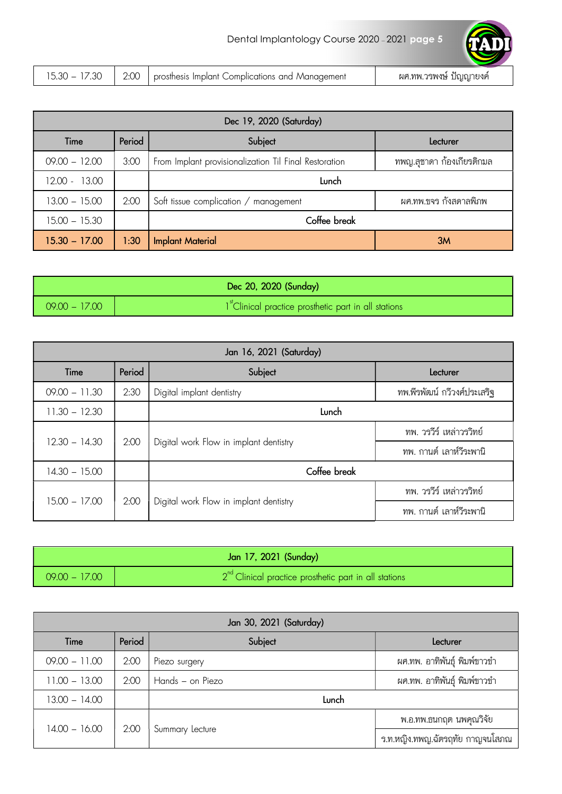| 7.3C | $\cap$ | Complications and Management | ิ ⊌ท.ทพ.วรพงษ์ |
|------|--------|------------------------------|----------------|
| 5.30 |        | prosthesis Implant C         | ปฌฌายงค        |

| Dec 19, 2020 (Saturday) |        |                                                       |                           |
|-------------------------|--------|-------------------------------------------------------|---------------------------|
| Time                    | Period | Subject                                               | Lecturer                  |
| $09.00 - 12.00$         | 3:00   | From Implant provisionalization Til Final Restoration | ทพญ.สุชาดา ก้องเกียรติกมล |
| $12.00 - 13.00$         |        | Lunch                                                 |                           |
| $13.00 - 15.00$         | 2:00   | Soft tissue complication / management                 | ผศ.ทพ.ขจร กังสดาลพิภพ     |
| $15.00 - 15.30$         |        | Coffee break                                          |                           |
| $15.30 - 17.00$         | 1:30   | <b>Implant Material</b>                               | 3M                        |

|                 | Dec 20, 2020 (Sunday)                                                         |
|-----------------|-------------------------------------------------------------------------------|
| $09.00 - 17.00$ | $\bigwedge$ 1 <sup>st</sup> Clinical practice prosthetic part in all stations |

| Jan 16, 2021 (Saturday) |        |                                        |                             |
|-------------------------|--------|----------------------------------------|-----------------------------|
| Time                    | Period | Subject                                | Lecturer                    |
| $09.00 - 11.30$         | 2:30   | Digital implant dentistry              | ทพ.พีรพัฒน์ กวีวงศ์ประเสริฐ |
| $11.30 - 12.30$         |        | Lunch                                  |                             |
|                         |        | Digital work Flow in implant dentistry | ทพ. วรวีร์ เหล่าวรวิทย์     |
| $12.30 - 14.30$         | 2:00   |                                        | ทพ. กานต์ เลาห์วีระพานิ     |
| $14.30 - 15.00$         |        | Coffee break                           |                             |
|                         |        |                                        | ทพ. วรวีร์ เหล่าวรวิทย์     |
| $15.00 - 17.00$         | 2:00   | Digital work Flow in implant dentistry | ทพ. กานต์ เลาห์วีระพานิ     |

| Jan 17, 2021 (Sunday) |                                                         |  |  |
|-----------------------|---------------------------------------------------------|--|--|
| $09.00 - 17.00$       | $2nd$ Clinical practice prosthetic part in all stations |  |  |

| Jan 30, 2021 (Saturday) |        |                  |                                 |
|-------------------------|--------|------------------|---------------------------------|
| Time                    | Period | Subject          | Lecturer                        |
| $09.00 - 11.00$         | 2:00   | Piezo surgery    | ผศ.ทพ. อาทิพันธุ์ พิมพ์ขาวขำ    |
| $11.00 - 13.00$         | 2:00   | Hands - on Piezo | ผศ.ทพ. อาทิพันธ์ พิมพ์ขาวขำ     |
| $13.00 - 14.00$         |        | Lunch            |                                 |
| $14.00 - 16.00$         |        |                  | พ.อ.ทพ.ธนกฤต นพคุณวิจัย         |
|                         | 2:00   | Summary Lecture  | ร.ท.หญิง.ทพญ.ฉัตรฤทัย กาญจนโสภณ |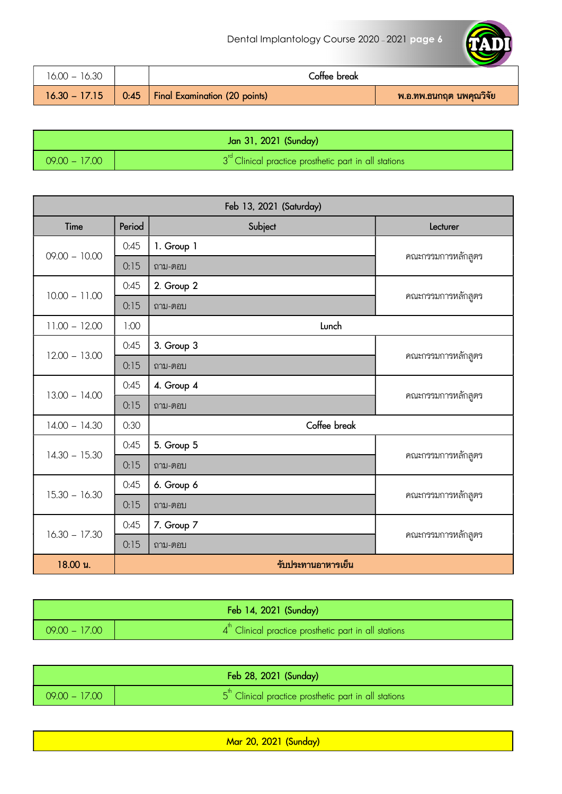

| 16.00 – 16.30   | Coffee break                         |                         |
|-----------------|--------------------------------------|-------------------------|
| $16.30 - 17.15$ | 0:45   Final Examination (20 points) | พ.อ.ทพ.ธนกฤต นพคุณวิจัย |

| Jan 31, 2021 (Sunday) |                                                                          |
|-----------------------|--------------------------------------------------------------------------|
| $09.00 - 17.00$       | $\sqrt{3}^{\text{rd}}$ Clinical practice prosthetic part in all stations |

| Feb 13, 2021 (Saturday) |                    |              |                    |
|-------------------------|--------------------|--------------|--------------------|
| Time                    | Period             | Subject      | Lecturer           |
| $09.00 - 10.00$         | 0:45               | 1. Group 1   |                    |
|                         | 0:15               | ถาม-ตอบ      | คณะกรรมการหลักสูตร |
| $10.00 - 11.00$         | 0:45               | 2. Group 2   |                    |
|                         | 0:15               | ถาม-ตอบ      | คณะกรรมการหลักสูตร |
| $11.00 - 12.00$         | 1:00               | Lunch        |                    |
|                         | 0:45               | 3. Group 3   |                    |
| $12.00 - 13.00$         | 0:15               | ถาม-ตอบ      | คณะกรรมการหลักสูตร |
|                         | 0:45               | 4. Group 4   |                    |
| $13.00 - 14.00$         | 0:15               | ถาม-ตอบ      | คณะกรรมการหลักสูตร |
| $14.00 - 14.30$         | 0:30               | Coffee break |                    |
|                         | 0:45               | 5. Group 5   |                    |
| $14.30 - 15.30$         | 0:15               | ถาม-ตอบ      | คณะกรรมการหลักสูตร |
| $15.30 - 16.30$         | 0:45               | 6. Group 6   |                    |
|                         | 0:15               | ถาม-ตอบ      | คณะกรรมการหลักสูตร |
| $16.30 - 17.30$         | 0:45               | 7. Group 7   |                    |
|                         | 0:15               | ถาม-ตอบ      | คณะกรรมการหลักสูตร |
| 18.00 u.                | รับประทานอาหารเย็น |              |                    |

|                 | Feb 14, 2021 (Sunday)                                              |
|-----------------|--------------------------------------------------------------------|
| $09.00 - 17.00$ | $4th$ Clinical practice prosthetic part in all stations $\sqrt{2}$ |

| Feb 28, 2021 (Sunday) |                                                                                     |
|-----------------------|-------------------------------------------------------------------------------------|
| $09.00 - 17.00$       | $\sqrt{5}^{\text{th}}$ Clinical practice prosthetic part in all stations $\sqrt{2}$ |

Mar 20, 2021 (Sunday)